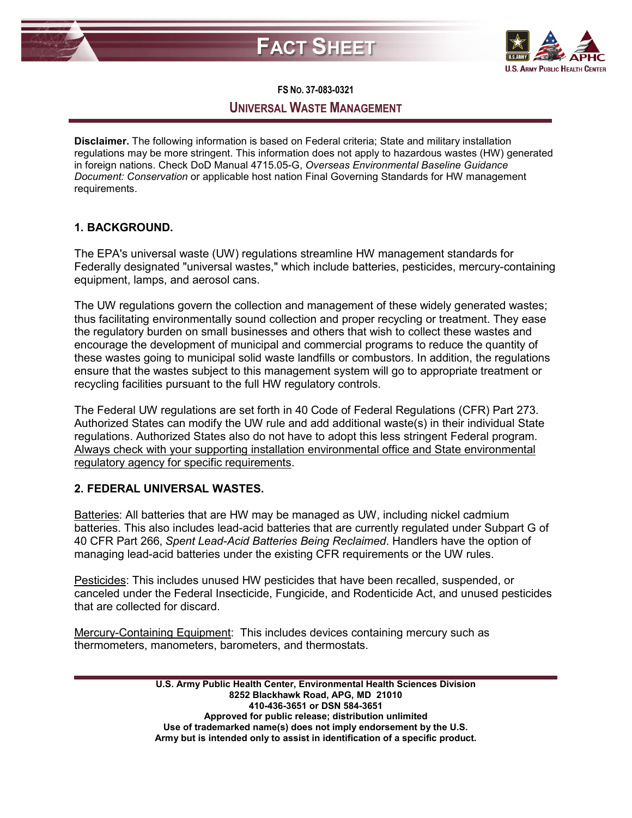



#### **FS NO. 37-083-0321**

# **UNIVERSAL WASTE MANAGEMENT**

**Disclaimer.** The following information is based on Federal criteria; State and military installation regulations may be more stringent. This information does not apply to hazardous wastes (HW) generated in foreign nations. Check DoD Manual 4715.05-G, *Overseas Environmental Baseline Guidance Document: Conservation* or applicable host nation Final Governing Standards for HW management requirements.

# **1. BACKGROUND.**

The EPA's universal waste (UW) regulations streamline HW management standards for Federally designated "universal wastes," which include batteries, pesticides, mercury-containing equipment, lamps, and aerosol cans.

The UW regulations govern the collection and management of these widely generated wastes; thus facilitating environmentally sound collection and proper recycling or treatment. They ease the regulatory burden on small businesses and others that wish to collect these wastes and encourage the development of municipal and commercial programs to reduce the quantity of these wastes going to municipal solid waste landfills or combustors. In addition, the regulations ensure that the wastes subject to this management system will go to appropriate treatment or recycling facilities pursuant to the full HW regulatory controls.

The Federal UW regulations are set forth in 40 Code of Federal Regulations (CFR) Part 273. Authorized States can modify the UW rule and add additional waste(s) in their individual State regulations. Authorized States also do not have to adopt this less stringent Federal program. Always check with your supporting installation environmental office and State environmental regulatory agency for specific requirements.

## **2. FEDERAL UNIVERSAL WASTES.**

Batteries: All batteries that are HW may be managed as UW, including nickel cadmium batteries. This also includes lead-acid batteries that are currently regulated under Subpart G of 40 CFR Part 266, *Spent Lead-Acid Batteries Being Reclaimed*. Handlers have the option of managing lead-acid batteries under the existing CFR requirements or the UW rules.

Pesticides: This includes unused HW pesticides that have been recalled, suspended, or canceled under the Federal Insecticide, Fungicide, and Rodenticide Act, and unused pesticides that are collected for discard.

Mercury-Containing Equipment: This includes devices containing mercury such as thermometers, manometers, barometers, and thermostats.

> **U.S. Army Public Health Center, Environmental Health Sciences Division 8252 Blackhawk Road, APG, MD 21010 410-436-3651 or DSN 584-3651 Approved for public release; distribution unlimited Use of trademarked name(s) does not imply endorsement by the U.S. Army but is intended only to assist in identification of a specific product.**